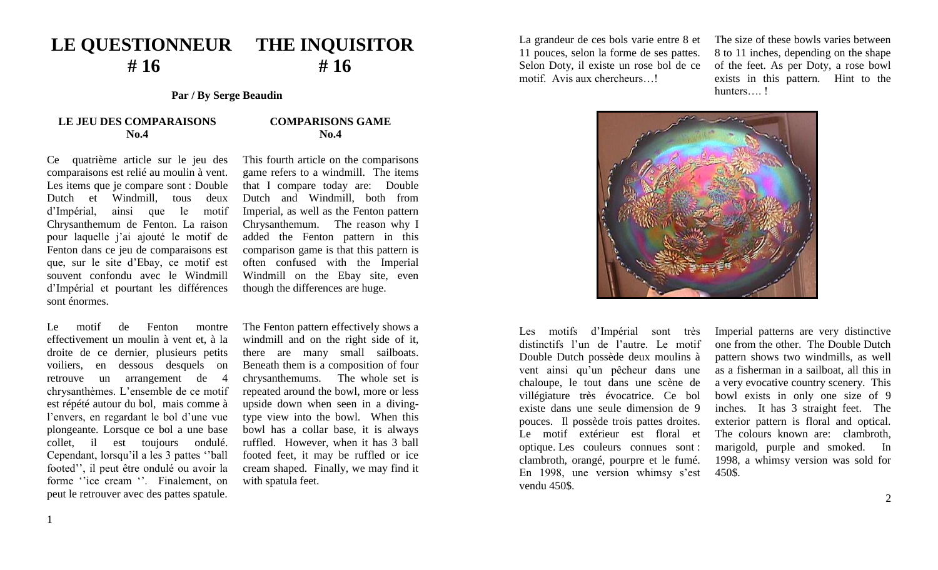## **LE QUESTIONNEUR THE INQUISITOR # 16 # 16**

**Par / By Serge Beaudin**

## **LE JEU DES COMPARAISONS No.4**

## Ce quatrième article sur le jeu des comparaisons est relié au moulin à vent. Les items que je compare sont : Double Dutch et Windmill, tous deux d'Impérial, ainsi que le motif Chrysanthemum de Fenton. La raison pour laquelle j'ai ajouté le motif de Fenton dans ce jeu de comparaisons est que, sur le site d'Ebay, ce motif est souvent confondu avec le Windmill d'Impérial et pourtant les différences sont énormes.

Le motif de Fenton montre effectivement un moulin à vent et, à la droite de ce dernier, plusieurs petits voiliers, en dessous desquels on retrouve un arrangement de 4 chrysanthèmes. L'ensemble de ce motif est répété autour du bol, mais comme à l'envers, en regardant le bol d'une vue plongeante. Lorsque ce bol a une base collet, il est toujours ondulé. Cependant, lorsqu'il a les 3 pattes ''ball footed'', il peut être ondulé ou avoir la forme "ice cream". Finalement, on peut le retrouver avec des pattes spatule.

**COMPARISONS GAME No.4**

 This fourth article on the comparisons game refers to a windmill. The items that I compare today are: Double Dutch and Windmill, both from Imperial, as well as the Fenton pattern Chrysanthemum. The reason why I added the Fenton pattern in this comparison game is that this pattern is often confused with the Imperial Windmill on the Ebay site, even though the differences are huge.

 The Fenton pattern effectively shows a windmill and on the right side of it, there are many small sailboats. Beneath them is a composition of four chrysanthemums. The whole set is repeated around the bowl, more or less upside down when seen in a divingtype view into the bowl. When this bowl has a collar base, it is always ruffled. However, when it has 3 ball footed feet, it may be ruffled or ice cream shaped. Finally, we may find it with spatula feet.

La grandeur de ces bols varie entre 8 et 11 pouces, selon la forme de ses pattes. Selon Doty, il existe un rose bol de ce motif. Avis aux chercheurs…!

The size of these bowls varies between 8 to 11 inches, depending on the shape of the feet. As per Doty, a rose bowl exists in this pattern. Hint to the hunters…. !



Les motifs d'Impérial sont très distinctifs l'un de l'autre. Le motif Double Dutch possède deux moulins à vent ainsi qu'un pêcheur dans une chaloupe, le tout dans une scène de villégiature très évocatrice. Ce bol existe dans une seule dimension de 9 pouces. Il possède trois pattes droites. Le motif extérieur est floral et optique. Les couleurs connues sont : clambroth, orangé, pourpre et le fumé. En 1998, une version whimsy s'est vendu 450\$.

 Imperial patterns are very distinctive one from the other. The Double Dutch pattern shows two windmills, as well as a fisherman in a sailboat, all this in a very evocative country scenery. This bowl exists in only one size of 9 inches. It has 3 straight feet. The exterior pattern is floral and optical. The colours known are: clambroth, marigold, purple and smoked. In 1998, a whimsy version was sold for 450\$.